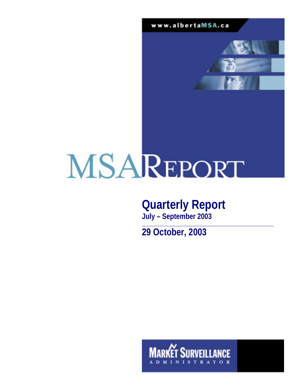www.albertaMSA.ca



# MSAREPORT

# **Quarterly Report**

**July – September 2003** 

**29 October, 2003** 

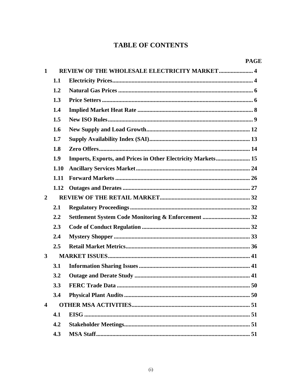# **TABLE OF CONTENTS**

| 1                       |      | REVIEW OF THE WHOLESALE ELECTRICITY MARKET 4                 |
|-------------------------|------|--------------------------------------------------------------|
|                         | 1.1  |                                                              |
|                         | 1.2  |                                                              |
|                         | 1.3  |                                                              |
|                         | 1.4  |                                                              |
|                         |      |                                                              |
|                         | 1.5  |                                                              |
|                         | 1.6  |                                                              |
|                         | 1.7  |                                                              |
|                         | 1.8  |                                                              |
|                         | 1.9  | Imports, Exports, and Prices in Other Electricity Markets 15 |
|                         | 1.10 |                                                              |
|                         | 1.11 |                                                              |
|                         | 1.12 |                                                              |
| $\overline{2}$          |      |                                                              |
|                         | 2.1  |                                                              |
|                         | 2.2  |                                                              |
|                         | 2.3  |                                                              |
|                         | 2.4  |                                                              |
|                         | 2.5  |                                                              |
| $\mathbf{3}$            |      |                                                              |
|                         | 3.1  |                                                              |
|                         | 3.2  |                                                              |
|                         | 3.3  |                                                              |
|                         | 3.4  |                                                              |
| $\overline{\mathbf{4}}$ |      |                                                              |
|                         | 4.1  |                                                              |
|                         | 4.2  |                                                              |
|                         | 4.3  |                                                              |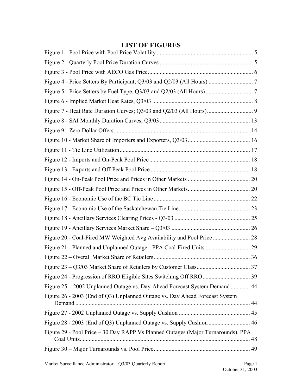| Figure 25 - 2002 Unplanned Outage vs. Day-Ahead Forecast System Demand  44<br>Figure 28 - 2003 (End of Q3) Unplanned Outage vs. Supply Cushion  46<br>Figure 29 - Pool Price - 30 Day RAPP Vs Planned Outages (Major Turnarounds), PPA |                                                                             |  |
|----------------------------------------------------------------------------------------------------------------------------------------------------------------------------------------------------------------------------------------|-----------------------------------------------------------------------------|--|
|                                                                                                                                                                                                                                        |                                                                             |  |
|                                                                                                                                                                                                                                        |                                                                             |  |
|                                                                                                                                                                                                                                        |                                                                             |  |
|                                                                                                                                                                                                                                        |                                                                             |  |
|                                                                                                                                                                                                                                        |                                                                             |  |
|                                                                                                                                                                                                                                        |                                                                             |  |
|                                                                                                                                                                                                                                        |                                                                             |  |
|                                                                                                                                                                                                                                        |                                                                             |  |
|                                                                                                                                                                                                                                        |                                                                             |  |
|                                                                                                                                                                                                                                        |                                                                             |  |
|                                                                                                                                                                                                                                        |                                                                             |  |
|                                                                                                                                                                                                                                        |                                                                             |  |
|                                                                                                                                                                                                                                        |                                                                             |  |
|                                                                                                                                                                                                                                        |                                                                             |  |
|                                                                                                                                                                                                                                        |                                                                             |  |
|                                                                                                                                                                                                                                        |                                                                             |  |
|                                                                                                                                                                                                                                        |                                                                             |  |
|                                                                                                                                                                                                                                        |                                                                             |  |
|                                                                                                                                                                                                                                        |                                                                             |  |
|                                                                                                                                                                                                                                        |                                                                             |  |
|                                                                                                                                                                                                                                        |                                                                             |  |
|                                                                                                                                                                                                                                        |                                                                             |  |
|                                                                                                                                                                                                                                        |                                                                             |  |
|                                                                                                                                                                                                                                        |                                                                             |  |
|                                                                                                                                                                                                                                        | Figure 26 - 2003 (End of Q3) Unplanned Outage vs. Day Ahead Forecast System |  |
|                                                                                                                                                                                                                                        |                                                                             |  |
|                                                                                                                                                                                                                                        |                                                                             |  |
|                                                                                                                                                                                                                                        |                                                                             |  |
|                                                                                                                                                                                                                                        |                                                                             |  |

## **LIST OF FIGURES**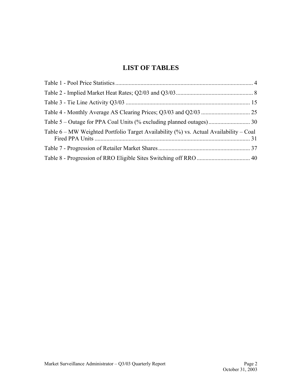## **LIST OF TABLES**

| Table 6 – MW Weighted Portfolio Target Availability (%) vs. Actual Availability – Coal |  |
|----------------------------------------------------------------------------------------|--|
|                                                                                        |  |
|                                                                                        |  |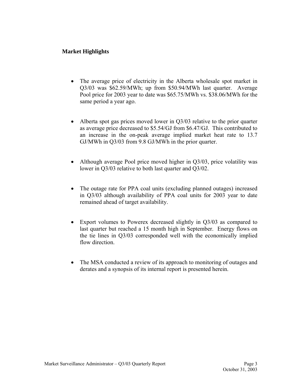#### **Market Highlights**

- The average price of electricity in the Alberta wholesale spot market in Q3/03 was \$62.59/MWh; up from \$50.94/MWh last quarter. Average Pool price for 2003 year to date was \$65.75/MWh vs. \$38.06/MWh for the same period a year ago.
- Alberta spot gas prices moved lower in Q3/03 relative to the prior quarter as average price decreased to \$5.54/GJ from \$6.47/GJ. This contributed to an increase in the on-peak average implied market heat rate to 13.7 GJ/MWh in Q3/03 from 9.8 GJ/MWh in the prior quarter.
- Although average Pool price moved higher in Q3/03, price volatility was lower in Q3/03 relative to both last quarter and Q3/02.
- The outage rate for PPA coal units (excluding planned outages) increased in Q3/03 although availability of PPA coal units for 2003 year to date remained ahead of target availability.
- Export volumes to Powerex decreased slightly in Q3/03 as compared to last quarter but reached a 15 month high in September. Energy flows on the tie lines in Q3/03 corresponded well with the economically implied flow direction
- The MSA conducted a review of its approach to monitoring of outages and derates and a synopsis of its internal report is presented herein.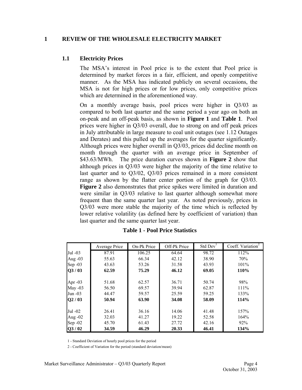#### <span id="page-5-0"></span>**1 REVIEW OF THE WHOLESALE ELECTRICITY MARKET**

#### **1.1 Electricity Prices**

The MSA's interest in Pool price is to the extent that Pool price is determined by market forces in a fair, efficient, and openly competitive manner. As the MSA has indicated publicly on several occasions, the MSA is not for high prices or for low prices, only competitive prices which are determined in the aforementioned way.

On a monthly average basis, pool prices were higher in Q3/03 as compared to both last quarter and the same period a year ago on both an on-peak and an off-peak basis, as shown in **Figure 1** and **Table 1**. Pool prices were higher in Q3/03 overall, due to strong on and off peak prices in July attributable in large measure to coal unit outages (see 1.12 Outages and Derates) and this pulled up the averages for the quarter significantly. Although prices were higher overall in Q3/03, prices did decline month on month through the quarter with an average price in September of \$43.63/MWh. The price duration curves shown in **Figure 2** show that although prices in Q3/03 were higher the majority of the time relative to last quarter and to Q3/02, Q3/03 prices remained in a more consistent range as shown by the flatter center portion of the graph for Q3/03. **Figure 2** also demonstrates that price spikes were limited in duration and were similar in Q3/03 relative to last quarter although somewhat more frequent than the same quarter last year. As noted previously, prices in Q3/03 were more stable the majority of the time which is reflected by lower relative volatility (as defined here by coefficient of variation) than last quarter and the same quarter last year.

|           | Average Price | On-Pk Price | Off-Pk Price | Std Dev <sup>1</sup> | Coeff. Variation <sup>2</sup> |
|-----------|---------------|-------------|--------------|----------------------|-------------------------------|
| Jul -03   | 87.91         | 106.25      | 64.64        | 98.72                | 112%                          |
| Aug -03   | 55.63         | 66.34       | 42.12        | 38.90                | 70%                           |
| Sep $-03$ | 43.63         | 53.26       | 31.58        | 43.93                | 101%                          |
| Q3/03     | 62.59         | 75.29       | 46.12        | 69.05                | 110%                          |
| Apr $-03$ | 51.68         | 62.57       | 36.71        | 50.74                | 98%                           |
| May $-03$ | 56.50         | 69.57       | 39.94        | 62.87                | 111%                          |
| Jun -03   | 44.47         | 59.57       | 25.59        | 59.25                | 133%                          |
| Q2/03     | 50.94         | 63.90       | 34.08        | 58.09                | 114%                          |
| Jul -02   | 26.41         | 36.16       | 14.06        | 41.48                | 157%                          |
| Aug -02   | 32.03         | 41.27       | 19.22        | 52.58                | 164%                          |
| Sep $-02$ | 45.70         | 61.43       | 27.72        | 42.16                | 92%                           |
| Q3/02     | 34.59         | 46.29       | 20.33        | 46.41                | 134%                          |

#### **Table 1 - Pool Price Statistics**

1 - Standard Deviation of hourly pool prices for the period

2 - Coefficient of Variation for the period (standard deviation/mean)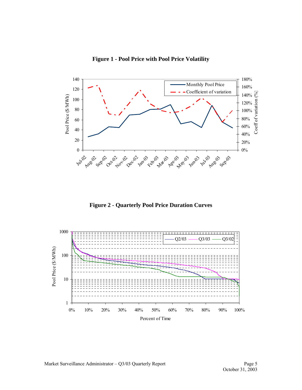<span id="page-6-0"></span>

**Figure 1 - Pool Price with Pool Price Volatility** 

**Figure 2 - Quarterly Pool Price Duration Curves** 

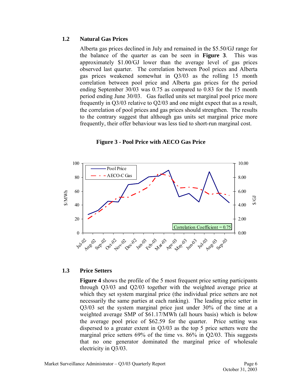#### <span id="page-7-0"></span>**1.2 Natural Gas Prices**

Alberta gas prices declined in July and remained in the \$5.50/GJ range for the balance of the quarter as can be seen in **Figure 3**. This was approximately \$1.00/GJ lower than the average level of gas prices observed last quarter. The correlation between Pool prices and Alberta gas prices weakened somewhat in Q3/03 as the rolling 15 month correlation between pool price and Alberta gas prices for the period ending September 30/03 was 0.75 as compared to 0.83 for the 15 month period ending June 30/03. Gas fuelled units set marginal pool price more frequently in Q3/03 relative to Q2/03 and one might expect that as a result, the correlation of pool prices and gas prices should strengthen. The results to the contrary suggest that although gas units set marginal price more frequently, their offer behaviour was less tied to short-run marginal cost.



**Figure 3 - Pool Price with AECO Gas Price** 

#### **1.3 Price Setters**

**Figure 4** shows the profile of the 5 most frequent price setting participants through Q3/03 and Q2/03 together with the weighted average price at which they set system marginal price (the individual price setters are not necessarily the same parties at each ranking). The leading price setter in Q3/03 set the system marginal price just under 30% of the time at a weighted average SMP of \$61.17/MWh (all hours basis) which is below the average pool price of \$62.59 for the quarter. Price setting was dispersed to a greater extent in Q3/03 as the top 5 price setters were the marginal price setters 69% of the time vs. 86% in Q2/03. This suggests that no one generator dominated the marginal price of wholesale electricity in Q3/03.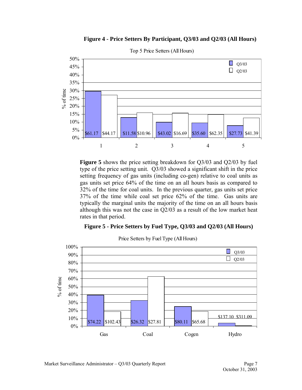

<span id="page-8-0"></span>

Top 5 Price Setters (All Hours)

**Figure 5** shows the price setting breakdown for Q3/03 and Q2/03 by fuel type of the price setting unit. Q3/03 showed a significant shift in the price setting frequency of gas units (including co-gen) relative to coal units as gas units set price 64% of the time on an all hours basis as compared to 32% of the time for coal units. In the previous quarter, gas units set price 37% of the time while coal set price 62% of the time. Gas units are typically the marginal units the majority of the time on an all hours basis although this was not the case in Q2/03 as a result of the low market heat rates in that period.

#### **Figure 5 - Price Setters by Fuel Type, Q3/03 and Q2/03 (All Hours)**



Price Setters by Fuel Type (All Hours)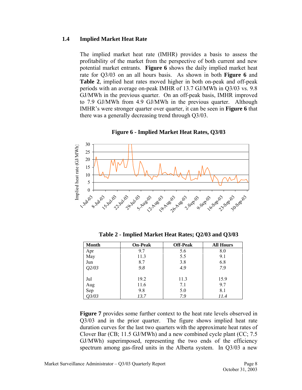#### <span id="page-9-0"></span>**1.4 Implied Market Heat Rate**

The implied market heat rate (IMHR) provides a basis to assess the profitability of the market from the perspective of both current and new potential market entrants. **Figure 6** shows the daily implied market heat rate for Q3/03 on an all hours basis. As shown in both **Figure 6** and **Table 2**, implied heat rates moved higher in both on-peak and off-peak periods with an average on-peak IMHR of 13.7 GJ/MWh in Q3/03 vs. 9.8 GJ/MWh in the previous quarter. On an off-peak basis, IMHR improved to 7.9 GJ/MWh from 4.9 GJ/MWh in the previous quarter. Although IMHR's were stronger quarter over quarter, it can be seen in **Figure 6** that there was a generally decreasing trend through Q3/03.



**Figure 6 - Implied Market Heat Rates, Q3/03** 

**Table 2 - Implied Market Heat Rates; Q2/03 and Q3/03** 

| <b>Month</b> | <b>On-Peak</b> | <b>Off-Peak</b> | <b>All Hours</b> |
|--------------|----------------|-----------------|------------------|
| Apr          | 9.7            | 5.6             | 8.0              |
| May          | 11.3           | 5.5             | 9.1              |
| Jun          | 8.7            | 3.8             | 6.8              |
| O2/O3        | 9.8            | 4.9             | 7.9              |
|              |                |                 |                  |
| Jul          | 19.2           | 11.3            | 15.9             |
| Aug          | 11.6           | 7.1             | 9.7              |
| Sep          | 9.8            | 5.0             | 8.1              |
| Q3/03        | 13.7           | 7.9             | 11.4             |

**Figure 7** provides some further context to the heat rate levels observed in Q3/03 and in the prior quarter. The figure shows implied heat rate duration curves for the last two quarters with the approximate heat rates of Clover Bar (CB; 11.5 GJ/MWh) and a new combined cycle plant (CC; 7.5 GJ/MWh) superimposed, representing the two ends of the efficiency spectrum among gas-fired units in the Alberta system. In Q3/03 a new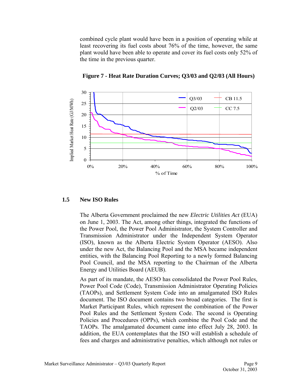<span id="page-10-0"></span>combined cycle plant would have been in a position of operating while at least recovering its fuel costs about 76% of the time, however, the same plant would have been able to operate and cover its fuel costs only 52% of the time in the previous quarter.



**Figure 7 - Heat Rate Duration Curves; Q3/03 and Q2/03 (All Hours)** 

#### **1.5 New ISO Rules**

The Alberta Government proclaimed the new *Electric Utilities Act* (EUA) on June 1, 2003. The Act, among other things, integrated the functions of the Power Pool, the Power Pool Administrator, the System Controller and Transmission Administrator under the Independent System Operator (ISO), known as the Alberta Electric System Operator (AESO). Also under the new Act, the Balancing Pool and the MSA became independent entities, with the Balancing Pool Reporting to a newly formed Balancing Pool Council, and the MSA reporting to the Chairman of the Alberta Energy and Utilities Board (AEUB).

As part of its mandate, the AESO has consolidated the Power Pool Rules, Power Pool Code (Code), Transmission Administrator Operating Policies (TAOPs), and Settlement System Code into an amalgamated ISO Rules document. The ISO document contains two broad categories. The first is Market Participant Rules, which represent the combination of the Power Pool Rules and the Settlement System Code. The second is Operating Policies and Procedures (OPPs), which combine the Pool Code and the TAOPs. The amalgamated document came into effect July 28, 2003. In addition, the EUA contemplates that the ISO will establish a schedule of fees and charges and administrative penalties, which although not rules or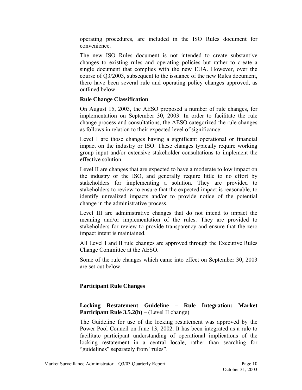operating procedures, are included in the ISO Rules document for convenience.

The new ISO Rules document is not intended to create substantive changes to existing rules and operating policies but rather to create a single document that complies with the new EUA. However, over the course of Q3/2003, subsequent to the issuance of the new Rules document, there have been several rule and operating policy changes approved, as outlined below.

#### **Rule Change Classification**

On August 15, 2003, the AESO proposed a number of rule changes, for implementation on September 30, 2003. In order to facilitate the rule change process and consultations, the AESO categorized the rule changes as follows in relation to their expected level of significance:

Level I are those changes having a significant operational or financial impact on the industry or ISO. These changes typically require working group input and/or extensive stakeholder consultations to implement the effective solution.

Level II are changes that are expected to have a moderate to low impact on the industry or the ISO, and generally require little to no effort by stakeholders for implementing a solution. They are provided to stakeholders to review to ensure that the expected impact is reasonable, to identify unrealized impacts and/or to provide notice of the potential change in the administrative process.

Level III are administrative changes that do not intend to impact the meaning and/or implementation of the rules. They are provided to stakeholders for review to provide transparency and ensure that the zero impact intent is maintained.

All Level I and II rule changes are approved through the Executive Rules Change Committee at the AESO.

Some of the rule changes which came into effect on September 30, 2003 are set out below.

#### **Participant Rule Changes**

#### **Locking Restatement Guideline – Rule Integration: Market Participant Rule 3.5.2(b)** – (Level II change)

The Guideline for use of the locking restatement was approved by the Power Pool Council on June 13, 2002. It has been integrated as a rule to facilitate participant understanding of operational implications of the locking restatement in a central locale, rather than searching for "guidelines" separately from "rules".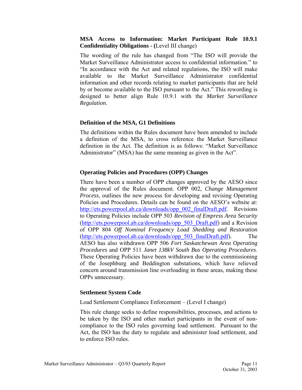#### **MSA Access to Information: Market Participant Rule 10.9.1 Confidentiality Obligations - (**Level III change)

The wording of the rule has changed from "The ISO will provide the Market Surveillance Administrator access to confidential information." to "In accordance with the Act and related regulations, the ISO will make available to the Market Surveillance Administrator confidential information and other records relating to market participants that are held by or become available to the ISO pursuant to the Act." This rewording is designed to better align Rule 10.9.1 with the *Market Surveillance Regulation.*

#### **Definition of the MSA, G1 Definitions**

The definitions within the Rules document have been amended to include a definition of the MSA, to cross reference the Market Surveillance definition in the Act. The definition is as follows: "Market Surveillance Administrator" (MSA) has the same meaning as given in the Act".

#### **Operating Policies and Procedures (OPP) Changes**

There have been a number of OPP changes approved by the AESO since the approval of the Rules document. OPP 002, *Change Management Process*, outlines the new process for developing and revising Operating Policies and Procedures. Details can be found on the AESO's website at: [http://ets.powerpool.ab.ca/downloads/opp\\_002\\_finalDraft.pdf](http://ets.powerpool.ab.ca/downloads/opp_002_finalDraft.pdf). Revisions to Operating Policies include OPP 503 *Revision of Empress Area Security* ([http://ets.powerpool.ab.ca/downloads/opp\\_503\\_Draft.pdf](http://ets.powerpool.ab.ca/downloads/opp_503_Draft.pdf)) and a Revision of OPP 804 *Off Nominal Frequency Load Shedding and Restoration*  ([http://ets.powerpool.ab.ca/downloads/opp\\_503\\_finalDraft.pdf](http://ets.powerpool.ab.ca/downloads/opp_503_finalDraft.pdf)). The AESO has also withdrawn OPP 506 *Fort Saskatchewan Area Operating Procedures* and OPP 511 *Janet 138kV South Bus Operating Procedures*. These Operating Policies have been withdrawn due to the commissioning of the Josephburg and Beddington substations, which have relieved concern around transmission line overloading in these areas, making these OPPs unnecessary.

#### **Settlement System Code**

Load Settlement Compliance Enforcement – (Level I change)

This rule change seeks to define responsibilities, processes, and actions to be taken by the ISO and other market participants in the event of noncompliance to the ISO rules governing load settlement. Pursuant to the Act, the ISO has the duty to regulate and administer load settlement, and to enforce ISO rules.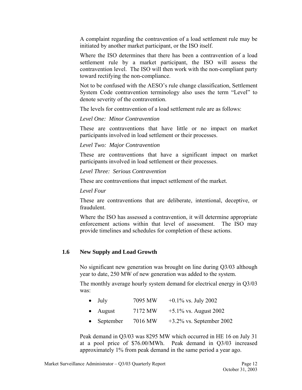<span id="page-13-0"></span>A complaint regarding the contravention of a load settlement rule may be initiated by another market participant, or the ISO itself.

Where the ISO determines that there has been a contravention of a load settlement rule by a market participant, the ISO will assess the contravention level. The ISO will then work with the non-compliant party toward rectifying the non-compliance.

Not to be confused with the AESO's rule change classification, Settlement System Code contravention terminology also uses the term "Level" to denote severity of the contravention.

The levels for contravention of a load settlement rule are as follows:

*Level One: Minor Contravention* 

These are contraventions that have little or no impact on market participants involved in load settlement or their processes.

*Level Two: Major Contravention* 

These are contraventions that have a significant impact on market participants involved in load settlement or their processes.

*Level Three: Serious Contravention* 

These are contraventions that impact settlement of the market.

*Level Four* 

These are contraventions that are deliberate, intentional, deceptive, or fraudulent.

Where the ISO has assessed a contravention, it will determine appropriate enforcement actions within that level of assessment. The ISO may provide timelines and schedules for completion of these actions.

#### **1.6 New Supply and Load Growth**

No significant new generation was brought on line during Q3/03 although year to date, 250 MW of new generation was added to the system.

The monthly average hourly system demand for electrical energy in Q3/03 was:

|  | July | 7095 MW | $+0.1\%$ vs. July 2002 |
|--|------|---------|------------------------|
|--|------|---------|------------------------|

- August  $7172 \text{ MW} +5.1\% \text{ vs. August } 2002$
- September  $7016 \text{ MW} +3.2\% \text{ vs. September } 2002$

Peak demand in Q3/03 was 8295 MW which occurred in HE 16 on July 31 at a pool price of \$76.00/MWh. Peak demand in Q3/03 increased approximately 1% from peak demand in the same period a year ago.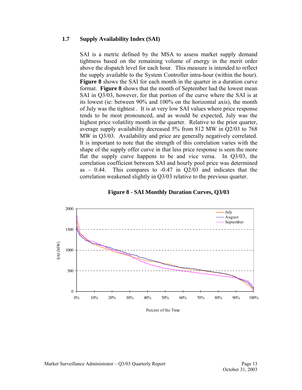#### <span id="page-14-0"></span>**1.7 Supply Availability Index (SAI)**

SAI is a metric defined by the MSA to assess market supply demand tightness based on the remaining volume of energy in the merit order above the dispatch level for each hour. This measure is intended to reflect the supply available to the System Controller intra-hour (within the hour). **Figure 8** shows the SAI for each month in the quarter in a duration curve format. **Figure 8** shows that the month of September had the lowest mean SAI in Q3/03, however, for that portion of the curve where the SAI is at its lowest (ie: between 90% and 100% on the horizontal axis), the month of July was the tightest . It is at very low SAI values where price response tends to be most pronounced, and as would be expected, July was the highest price volatility month in the quarter. Relative to the prior quarter, average supply availability decreased 5% from 812 MW in Q2/03 to 768 MW in Q3/03. Availability and price are generally negatively correlated. It is important to note that the strength of this correlation varies with the shape of the supply offer curve in that less price response is seen the more flat the supply curve happens to be and vice versa. In Q3/03, the correlation coefficient between SAI and hourly pool price was determined as  $-0.44$ . This compares to  $-0.47$  in  $Q2/03$  and indicates that the correlation weakened slightly in Q3/03 relative to the previous quarter.

#### **Figure 8 - SAI Monthly Duration Curves, Q3/03**



Percent of the Time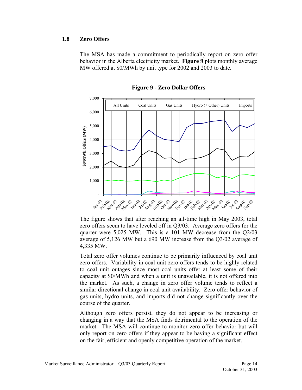#### <span id="page-15-0"></span>**1.8 Zero Offers**

The MSA has made a commitment to periodically report on zero offer behavior in the Alberta electricity market. **Figure 9** plots monthly average MW offered at \$0/MWh by unit type for 2002 and 2003 to date.



**Figure 9 - Zero Dollar Offers** 

The figure shows that after reaching an all-time high in May 2003, total zero offers seem to have leveled off in Q3/03. Average zero offers for the quarter were 5,025 MW. This is a 101 MW decrease from the Q2/03 average of 5,126 MW but a 690 MW increase from the Q3/02 average of 4,335 MW.

Total zero offer volumes continue to be primarily influenced by coal unit zero offers. Variability in coal unit zero offers tends to be highly related to coal unit outages since most coal units offer at least some of their capacity at \$0/MWh and when a unit is unavailable, it is not offered into the market. As such, a change in zero offer volume tends to reflect a similar directional change in coal unit availability. Zero offer behavior of gas units, hydro units, and imports did not change significantly over the course of the quarter.

Although zero offers persist, they do not appear to be increasing or changing in a way that the MSA finds detrimental to the operation of the market. The MSA will continue to monitor zero offer behavior but will only report on zero offers if they appear to be having a significant effect on the fair, efficient and openly competitive operation of the market.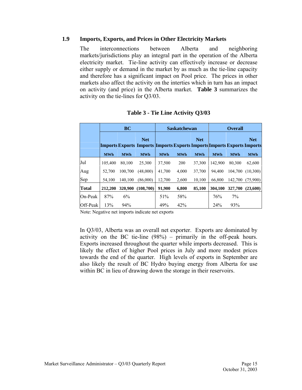#### <span id="page-16-0"></span>**1.9 Imports, Exports, and Prices in Other Electricity Markets**

The interconnections between Alberta and neighboring markets/jurisdictions play an integral part in the operation of the Alberta electricity market. Tie-line activity can effectively increase or decrease either supply or demand in the market by as much as the tie-line capacity and therefore has a significant impact on Pool price. The prices in other markets also affect the activity on the interties which in turn has an impact on activity (and price) in the Alberta market. **Table 3** summarizes the activity on the tie-lines for Q3/03.

|              | <b>BC</b>  |            | <b>Saskatchewan</b>                                                                          |            |            | <b>Overall</b> |            |            |            |
|--------------|------------|------------|----------------------------------------------------------------------------------------------|------------|------------|----------------|------------|------------|------------|
|              |            |            | <b>Net</b><br><b>Imports Exports Imports Imports Exports Imports Imports Exports Imports</b> |            |            | <b>Net</b>     |            |            | <b>Net</b> |
|              | <b>MWh</b> | <b>MWh</b> | <b>MWh</b>                                                                                   | <b>MWh</b> | <b>MWh</b> | <b>MWh</b>     | <b>MWh</b> | <b>MWh</b> | <b>MWh</b> |
| Jul          | 105,400    | 80.100     | 25,300                                                                                       | 37,500     | 200        | 37,300         | 142,900    | 80,300     | 62,600     |
| Aug          | 52.700     | 100.700    | (48,000)                                                                                     | 41,700     | 4,000      | 37,700         | 94.400     | 104.700    | (10,300)   |
| Sep          | 54.100     | 140.100    | (86,000)                                                                                     | 12,700     | 2,600      | 10,100         | 66.800     | 142.700    | (75,900)   |
| <b>Total</b> | 212,200    | 320,900    | (108,700)                                                                                    | 91.900     | 6,800      | 85,100         | 304,100    | 327,700    | (23,600)   |
| On-Peak      | 87%        | 6%         |                                                                                              | 51%        | 58%        |                | 76%        | 7%         |            |
| Off-Peak     | 13%        | 94%        |                                                                                              | 49%        | 42%        |                | 24%        | 93%        |            |

#### **Table 3 - Tie Line Activity Q3/03**

Note: Negative net imports indicate net exports

In Q3/03, Alberta was an overall net exporter. Exports are dominated by activity on the BC tie-line (98%) – primarily in the off-peak hours. Exports increased throughout the quarter while imports decreased. This is likely the effect of higher Pool prices in July and more modest prices towards the end of the quarter. High levels of exports in September are also likely the result of BC Hydro buying energy from Alberta for use within BC in lieu of drawing down the storage in their reservoirs.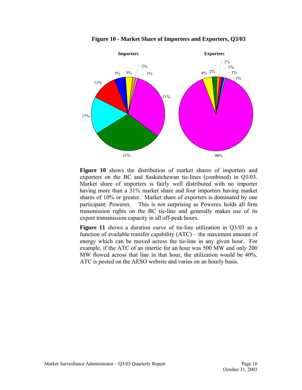<span id="page-17-0"></span>

**Figure 10 - Market Share of Importers and Exporters, Q3/03** 

**Figure 10** shows the distribution of market shares of importers and exporters on the BC and Saskatchewan tie-lines (combined) in Q3/03. Market share of importers is fairly well distributed with no importer having more than a 31% market share and four importers having market shares of 10% or greater. Market share of exporters is dominated by one participant: Powerex. This is not surprising as Powerex holds all firm transmission rights on the BC tie-line and generally makes use of its export transmission capacity in all off-peak hours.

**Figure 11** shows a duration curve of tie-line utilization in Q3/03 as a function of available transfer capability (ATC) – the maximum amount of energy which can be moved across the tie-line in any given hour. For example, if the ATC of an intertie for an hour was 500 MW and only 200 MW flowed across that line in that hour, the utilization would be 40%. ATC is posted on the AESO website and varies on an hourly basis.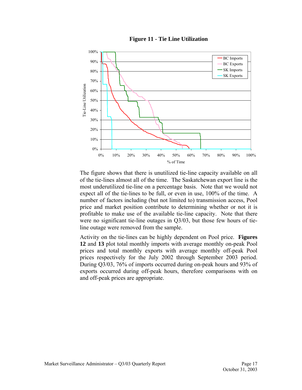

<span id="page-18-0"></span>

The figure shows that there is unutilized tie-line capacity available on all of the tie-lines almost all of the time. The Saskatchewan export line is the most underutilized tie-line on a percentage basis. Note that we would not expect all of the tie-lines to be full, or even in use, 100% of the time. A number of factors including (but not limited to) transmission access, Pool price and market position contribute to determining whether or not it is profitable to make use of the available tie-line capacity. Note that there were no significant tie-line outages in Q3/03, but those few hours of tieline outage were removed from the sample.

Activity on the tie-lines can be highly dependent on Pool price. **Figures 12** and **13** plot total monthly imports with average monthly on-peak Pool prices and total monthly exports with average monthly off-peak Pool prices respectively for the July 2002 through September 2003 period. During Q3/03, 76% of imports occurred during on-peak hours and 93% of exports occurred during off-peak hours, therefore comparisons with on and off-peak prices are appropriate.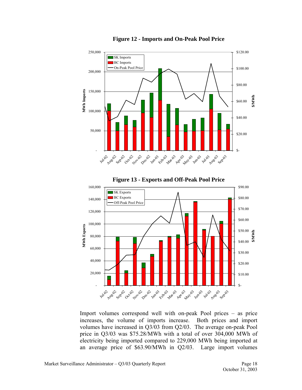<span id="page-19-0"></span>

**Figure 12 - Imports and On-Peak Pool Price** 

Import volumes correspond well with on-peak Pool prices – as price increases, the volume of imports increase. Both prices and import volumes have increased in Q3/03 from Q2/03. The average on-peak Pool price in Q3/03 was \$75.28/MWh with a total of over 304,000 MWh of electricity being imported compared to 229,000 MWh being imported at an average price of \$63.90/MWh in Q2/03. Large import volumes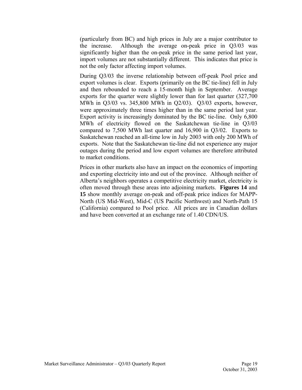(particularly from BC) and high prices in July are a major contributor to the increase. Although the average on-peak price in Q3/03 was significantly higher than the on-peak price in the same period last year, import volumes are not substantially different. This indicates that price is not the only factor affecting import volumes.

During Q3/03 the inverse relationship between off-peak Pool price and export volumes is clear. Exports (primarily on the BC tie-line) fell in July and then rebounded to reach a 15-month high in September. Average exports for the quarter were slightly lower than for last quarter (327,700 MWh in Q3/03 vs. 345,800 MWh in Q2/03). Q3/03 exports, however, were approximately three times higher than in the same period last year. Export activity is increasingly dominated by the BC tie-line. Only 6,800 MWh of electricity flowed on the Saskatchewan tie-line in Q3/03 compared to 7,500 MWh last quarter and 16,900 in Q3/02. Exports to Saskatchewan reached an all-time low in July 2003 with only 200 MWh of exports. Note that the Saskatchewan tie-line did not experience any major outages during the period and low export volumes are therefore attributed to market conditions.

Prices in other markets also have an impact on the economics of importing and exporting electricity into and out of the province. Although neither of Alberta's neighbors operates a competitive electricity market, electricity is often moved through these areas into adjoining markets. **Figures 14** and **15** show monthly average on-peak and off-peak price indices for MAPP-North (US Mid-West), Mid-C (US Pacific Northwest) and North-Path 15 (California) compared to Pool price. All prices are in Canadian dollars and have been converted at an exchange rate of 1.40 CDN/US.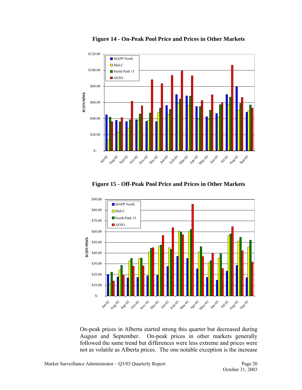<span id="page-21-0"></span>

**Figure 14 - On-Peak Pool Price and Prices in Other Markets** 

**Figure 15 - Off-Peak Pool Price and Prices in Other Markets** 



On-peak prices in Alberta started strong this quarter but decreased during August and September. On-peak prices in other markets generally followed the same trend but differences were less extreme and prices were not as volatile as Alberta prices. The one notable exception is the increase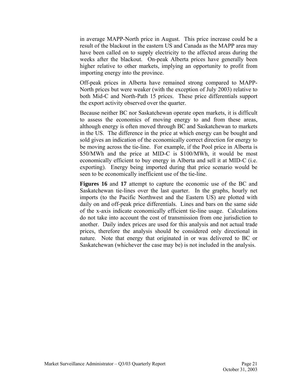in average MAPP-North price in August. This price increase could be a result of the blackout in the eastern US and Canada as the MAPP area may have been called on to supply electricity to the affected areas during the weeks after the blackout. On-peak Alberta prices have generally been higher relative to other markets, implying an opportunity to profit from importing energy into the province.

Off-peak prices in Alberta have remained strong compared to MAPP-North prices but were weaker (with the exception of July 2003) relative to both Mid-C and North-Path 15 prices. These price differentials support the export activity observed over the quarter.

Because neither BC nor Saskatchewan operate open markets, it is difficult to assess the economics of moving energy to and from these areas, although energy is often moved through BC and Saskatchewan to markets in the US. The difference in the price at which energy can be bought and sold gives an indication of the economically correct direction for energy to be moving across the tie-line. For example, if the Pool price in Alberta is \$50/MWh and the price at MID-C is \$100/MWh, it would be most economically efficient to buy energy in Alberta and sell it at MID-C (i.e. exporting). Energy being imported during that price scenario would be seen to be economically inefficient use of the tie-line.

**Figures 16** and **17** attempt to capture the economic use of the BC and Saskatchewan tie-lines over the last quarter. In the graphs, hourly net imports (to the Pacific Northwest and the Eastern US) are plotted with daily on and off-peak price differentials. Lines and bars on the same side of the x-axis indicate economically efficient tie-line usage. Calculations do not take into account the cost of transmission from one jurisdiction to another. Daily index prices are used for this analysis and not actual trade prices, therefore the analysis should be considered only directional in nature. Note that energy that originated in or was delivered to BC or Saskatchewan (whichever the case may be) is not included in the analysis.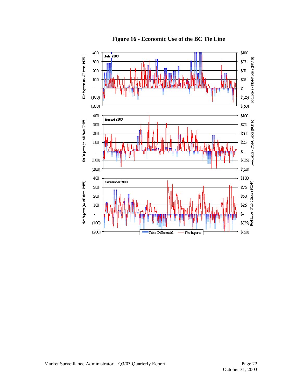<span id="page-23-0"></span>

**Figure 16 - Economic Use of the BC Tie Line**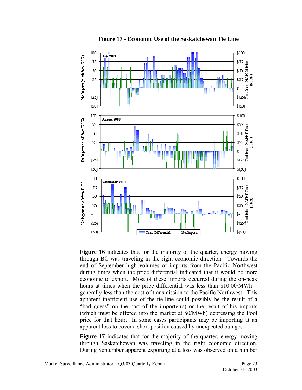<span id="page-24-0"></span>

**Figure 17 - Economic Use of the Saskatchewan Tie Line** 

Figure 16 indicates that for the majority of the quarter, energy moving through BC was traveling in the right economic direction. Towards the end of September high volumes of imports from the Pacific Northwest during times when the price differential indicated that it would be more economic to export. Most of these imports occurred during the on-peak hours at times when the price differential was less than \$10.00/MWh – generally less than the cost of transmission to the Pacific Northwest. This apparent inefficient use of the tie-line could possibly be the result of a "bad guess" on the part of the importer(s) or the result of his imports (which must be offered into the market at \$0/MWh) depressing the Pool price for that hour. In some cases participants may be importing at an apparent loss to cover a short position caused by unexpected outages.

Figure 17 indicates that for the majority of the quarter, energy moving through Saskatchewan was traveling in the right economic direction. During September apparent exporting at a loss was observed on a number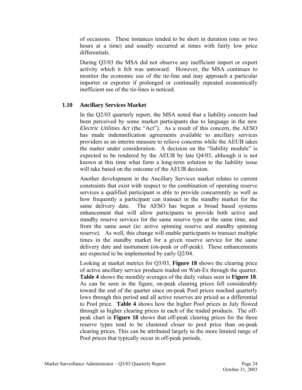<span id="page-25-0"></span>of occasions. These instances tended to be short in duration (one or two hours at a time) and usually occurred at times with fairly low price differentials.

During Q3/03 the MSA did not observe any inefficient import or export activity which it felt was untoward. However, the MSA continues to monitor the economic use of the tie-line and may approach a particular importer or exporter if prolonged or continually repeated economically inefficient use of the tie-lines is noticed.

#### **1.10 Ancillary Services Market**

In the Q2/03 quarterly report, the MSA noted that a liability concern had been perceived by some market participants due to language in the new *Electric Utilities Act* (the "Act"). As a result of this concern, the AESO has made indemnification agreements available to ancillary services providers as an interim measure to relieve concerns while the AEUB takes the matter under consideration. A decision on the "liability module" is expected to be rendered by the AEUB by late Q4/03, although it is not known at this time what form a long-term solution to the liability issue will take based on the outcome of the AEUB decision.

Another development in the Ancillary Services market relates to current constraints that exist with respect to the combination of operating reserve services a qualified participant is able to provide concurrently as well as how frequently a participant can transact in the standby market for the same delivery date. The AESO has begun a broad based systems enhancement that will allow participants to provide both active and standby reserve services for the same reserve type at the same time, and from the same asset (ie: active spinning reserve and standby spinning reserve). As well, this change will enable participants to transact multiple times in the standby market for a given reserve service for the same delivery date and instrument (on-peak or off-peak). These enhancements are expected to be implemented by early Q2/04.

Looking at market metrics for Q3/03, **Figure 18** shows the clearing price of active ancillary service products traded on Watt-Ex through the quarter. **Table 4** shows the monthly averages of the daily values seen in **Figure 18**. As can be seen in the figure, on-peak clearing prices fell considerably toward the end of the quarter since on-peak Pool prices reached quarterly lows through this period and all active reserves are priced as a differential to Pool price. **Table 4** shows how the higher Pool prices in July flowed through as higher clearing prices in each of the traded products. The offpeak chart in **Figure 18** shows that off-peak clearing prices for the three reserve types tend to be clustered closer to pool price than on-peak clearing prices. This can be attributed largely to the more limited range of Pool prices that typically occur in off-peak periods.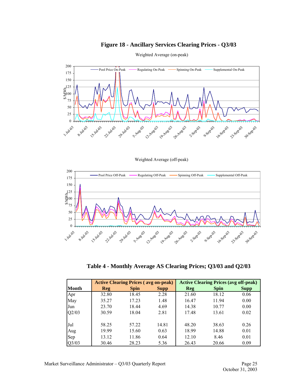#### **Figure 18 - Ancillary Services Clearing Prices - Q3/03**

<span id="page-26-0"></span>

Weighted Average (on-peak)

Weighted Average (off-peak)



**Table 4 - Monthly Average AS Clearing Prices; Q3/03 and Q2/03** 

|       |            | <b>Active Clearing Prices (avg on-peak)</b> |             | <b>Active Clearing Prices (avg off-peak)</b> |             |             |  |
|-------|------------|---------------------------------------------|-------------|----------------------------------------------|-------------|-------------|--|
| Month | <b>Reg</b> | <b>Spin</b>                                 | <b>Supp</b> | Reg                                          | <b>Spin</b> | <b>Supp</b> |  |
| Apr   | 32.80      | 18.45                                       | 2.28        | 21.60                                        | 18.12       | 0.06        |  |
| May   | 35.27      | 17.23                                       | 1.48        | 16.47                                        | 11.94       | 0.00        |  |
| Jun   | 23.70      | 18.44                                       | 4.69        | 14.38                                        | 10.77       | 0.00        |  |
| Q2/03 | 30.59      | 18.04                                       | 2.81        | 17.48                                        | 13.61       | 0.02        |  |
| Jul   | 58.25      | 57.22                                       | 14.81       | 48.20                                        | 38.63       | 0.26        |  |
| Aug   | 19.99      | 15.60                                       | 0.63        | 18.99                                        | 14.88       | 0.01        |  |
| Sep   | 13.12      | 11.86                                       | 0.64        | 12.10                                        | 8.46        | 0.01        |  |
| Q3/03 | 30.46      | 28.23                                       | 5.36        | 26.43                                        | 20.66       | 0.09        |  |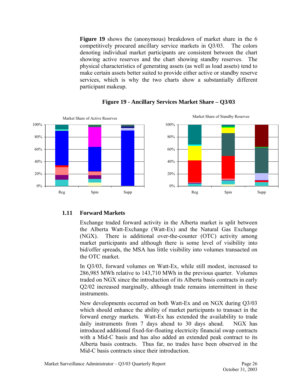<span id="page-27-0"></span>**Figure 19** shows the (anonymous) breakdown of market share in the 6 competitively procured ancillary service markets in Q3/03. The colors denoting individual market participants are consistent between the chart showing active reserves and the chart showing standby reserves. The physical characteristics of generating assets (as well as load assets) tend to make certain assets better suited to provide either active or standby reserve services, which is why the two charts show a substantially different participant makeup.



#### **Figure 19 - Ancillary Services Market Share – Q3/03**

#### **1.11 Forward Markets**

Exchange traded forward activity in the Alberta market is split between the Alberta Watt-Exchange (Watt-Ex) and the Natural Gas Exchange (NGX). There is additional over-the-counter (OTC) activity among market participants and although there is some level of visibility into bid/offer spreads, the MSA has little visibility into volumes transacted on the OTC market.

In Q3/03, forward volumes on Watt-Ex, while still modest, increased to 286,985 MWh relative to 143,710 MWh in the previous quarter. Volumes traded on NGX since the introduction of its Alberta basis contracts in early Q2/02 increased marginally, although trade remains intermittent in these instruments.

New developments occurred on both Watt-Ex and on NGX during Q3/03 which should enhance the ability of market participants to transact in the forward energy markets. Watt-Ex has extended the availability to trade daily instruments from 7 days ahead to 30 days ahead. NGX has introduced additional fixed-for-floating electricity financial swap contracts with a Mid-C basis and has also added an extended peak contract to its Alberta basis contracts. Thus far, no trades have been observed in the Mid-C basis contracts since their introduction.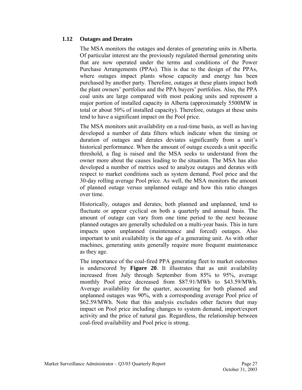#### <span id="page-28-0"></span>**1.12 Outages and Derates**

The MSA monitors the outages and derates of generating units in Alberta. Of particular interest are the previously regulated thermal generating units that are now operated under the terms and conditions of the Power Purchase Arrangements (PPAs). This is due to the design of the PPAs, where outages impact plants whose capacity and energy has been purchased by another party. Therefore, outages at these plants impact both the plant owners' portfolios and the PPA buyers' portfolios. Also, the PPA coal units are large compared with most peaking units and represent a major portion of installed capacity in Alberta (approximately 5500MW in total or about 50% of installed capacity). Therefore, outages at these units tend to have a significant impact on the Pool price.

The MSA monitors unit availability on a real-time basis, as well as having developed a number of data filters which indicate when the timing or duration of outages and derates deviates significantly from a unit's historical performance. When the amount of outage exceeds a unit specific threshold, a flag is raised and the MSA seeks to understand from the owner more about the causes leading to the situation. The MSA has also developed a number of metrics used to analyze outages and derates with respect to market conditions such as system demand, Pool price and the 30-day rolling average Pool price. As well, the MSA monitors the amount of planned outage versus unplanned outage and how this ratio changes over time.

Historically, outages and derates, both planned and unplanned, tend to fluctuate or appear cyclical on both a quarterly and annual basis. The amount of outage can vary from one time period to the next because planned outages are generally scheduled on a multi-year basis. This in turn impacts upon unplanned (maintenance and forced) outages. Also important to unit availability is the age of a generating unit. As with other machines, generating units generally require more frequent maintenance as they age.

The importance of the coal-fired PPA generating fleet to market outcomes is underscored by **Figure 20**. It illustrates that as unit availability increased from July through September from 85% to 95%, average monthly Pool price decreased from \$87.91/MWh to \$43.59/MWh. Average availability for the quarter, accounting for both planned and unplanned outages was 90%, with a corresponding average Pool price of \$62.59/MWh. Note that this analysis excludes other factors that may impact on Pool price including changes to system demand, import/export activity and the price of natural gas. Regardless, the relationship between coal-fired availability and Pool price is strong.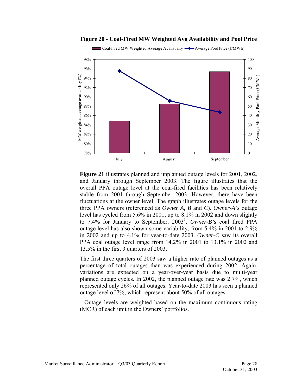<span id="page-29-0"></span>

**Figure 20 - Coal-Fired MW Weighted Avg Availability and Pool Price** 

**Figure 21** illustrates planned and unplanned outage levels for 2001, 2002, and January through September 2003. The figure illustrates that the overall PPA outage level at the coal-fired facilities has been relatively stable from 2001 through September 2003. However, there have been fluctuations at the owner level. The graph illustrates outage levels for the three PPA owners (referenced as *Owner A, B* and *C*). *Owner-A's* outage level has cycled from 5.6% in 2001, up to 8.1% in 2002 and down slightly to 7.4% for January to September, 2003<sup>1</sup>. Owner-B's coal fired PPA outage level has also shown some variability, from 5.4% in 2001 to 2.9% in 2002 and up to 4.1% for year-to-date 2003. *Owner-C* saw its overall PPA coal outage level range from 14.2% in 2001 to 13.1% in 2002 and 13.5% in the first 3 quarters of 2003.

The first three quarters of 2003 saw a higher rate of planned outages as a percentage of total outages than was experienced during 2002. Again, variations are expected on a year-over-year basis due to multi-year planned outage cycles. In 2002, the planned outage rate was 2.7%, which represented only 26% of all outages. Year-to-date 2003 has seen a planned outage level of 7%, which represent about 50% of all outages.

<sup>1</sup> Outage levels are weighted based on the maximum continuous rating (MCR) of each unit in the Owners' portfolios.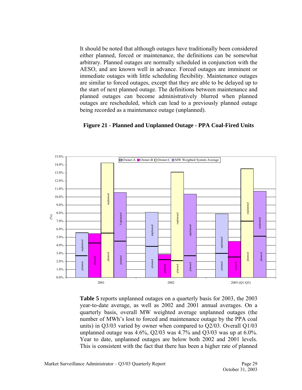<span id="page-30-0"></span>It should be noted that although outages have traditionally been considered either planned, forced or maintenance, the definitions can be somewhat arbitrary. Planned outages are normally scheduled in conjunction with the AESO, and are known well in advance. Forced outages are imminent or immediate outages with little scheduling flexibility. Maintenance outages are similar to forced outages, except that they are able to be delayed up to the start of next planned outage. The definitions between maintenance and planned outages can become administratively blurred when planned outages are rescheduled, which can lead to a previously planned outage being recorded as a maintenance outage (unplanned).



#### **Figure 21 - Planned and Unplanned Outage - PPA Coal-Fired Units**

**Table 5** reports unplanned outages on a quarterly basis for 2003, the 2003 year-to-date average, as well as 2002 and 2001 annual averages. On a quarterly basis, overall MW weighted average unplanned outages (the number of MWh's lost to forced and maintenance outage by the PPA coal units) in Q3/03 varied by owner when compared to Q2/03. Overall Q1/03 unplanned outage was 4.6%, Q2/03 was 4.7% and Q3/03 was up at 6.0%. Year to date, unplanned outages are below both 2002 and 2001 levels. This is consistent with the fact that there has been a higher rate of planned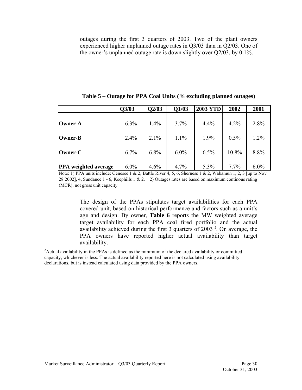<span id="page-31-0"></span>outages during the first 3 quarters of 2003. Two of the plant owners experienced higher unplanned outage rates in Q3/03 than in Q2/03. One of the owner's unplanned outage rate is down slightly over Q2/03, by 0.1%.

|                             | Q3/03   | Q2/03   | Q1/03 | <b>2003 YTD</b> | 2002    | 2001    |
|-----------------------------|---------|---------|-------|-----------------|---------|---------|
| <b>Owner-A</b>              | $6.3\%$ | $1.4\%$ | 3.7%  | 4.4%            | 4.2%    | 2.8%    |
| <b>Owner-B</b>              | 2.4%    | 2.1%    | 1.1%  | 1.9%            | 0.5%    | $1.2\%$ |
| Owner-C                     | 6.7%    | 6.8%    | 6.0%  | 6.5%            | 10.8%   | 8.8%    |
| <b>PPA</b> weighted average | $6.0\%$ | 4.6%    | 4.7%  | 5.3%            | $7.7\%$ | $6.0\%$ |

**Table 5 – Outage for PPA Coal Units (% excluding planned outages)** 

Note: 1) PPA units include: Genesee 1 & 2, Battle River 4, 5, 6, Sherness 1 & 2, Wabamun 1, 2, 3 [up to Nov 28 2002], 4, Sundance 1 - 6, Keephills 1 & 2. 2) Outages rates are based on maximum continous rating (MCR), not gross unit capacity.

> The design of the PPAs stipulates target availabilities for each PPA covered unit, based on historical performance and factors such as a unit's age and design. By owner, **Table 6** reports the MW weighted average target availability for each PPA coal fired portfolio and the actual availability achieved during the first 3 quarters of 2003 $^2$ . On average, the PPA owners have reported higher actual availability than target availability.

<sup>2</sup> Actual availability in the PPAs is defined as the minimum of the declared availability or committed capacity, whichever is less. The actual availability reported here is not calculated using availability declarations, but is instead calculated using data provided by the PPA owners.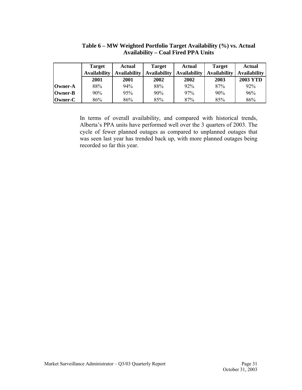<span id="page-32-0"></span>

|         | <b>Target</b>       | <b>Actual</b>       | Target              | <b>Actual</b>       | <b>Target</b>       | Actual              |
|---------|---------------------|---------------------|---------------------|---------------------|---------------------|---------------------|
|         | <b>Availability</b> | <b>Availability</b> | <b>Availability</b> | <b>Availability</b> | <b>Availability</b> | <b>Availability</b> |
|         | 2001                | 2001                | 2002                | 2002                | 2003                | <b>2003 YTD</b>     |
| Owner-A | 88%                 | 94%                 | 88%                 | 92%                 | 87%                 | 92%                 |
| Owner-B | $90\%$              | 95%                 | 90%                 | 97%                 | 90%                 | 96%                 |
| Owner-C | 86%                 | 86%                 | 85%                 | 87%                 | 85%                 | 86%                 |

**Table 6 – MW Weighted Portfolio Target Availability (%) vs. Actual Availability – Coal Fired PPA Units** 

In terms of overall availability, and compared with historical trends, Alberta's PPA units have performed well over the 3 quarters of 2003. The cycle of fewer planned outages as compared to unplanned outages that was seen last year has trended back up, with more planned outages being recorded so far this year.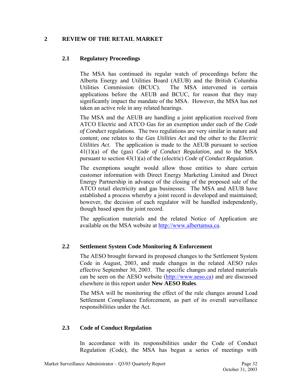#### <span id="page-33-0"></span>**2 REVIEW OF THE RETAIL MARKET**

#### **2.1 Regulatory Proceedings**

The MSA has continued its regular watch of proceedings before the Alberta Energy and Utilities Board (AEUB) and the British Columbia Utilities Commission (BCUC). The MSA intervened in certain applications before the AEUB and BCUC, for reason that they may significantly impact the mandate of the MSA. However, the MSA has not taken an active role in any related hearings.

The MSA and the AEUB are handling a joint application received from ATCO Electric and ATCO Gas for an exemption under each of the *Code of Conduct* regulations. The two regulations are very similar in nature and content; one relates to the *Gas Utilities Act* and the other to the *Electric Utilities Act*. The application is made to the AEUB pursuant to section 41(1)(a) of the (gas) *Code of Conduct Regulation*, and to the MSA pursuant to section 43(1)(a) of the (electric) *Code of Conduct Regulation*.

The exemptions sought would allow those entities to share certain customer information with Direct Energy Marketing Limited and Direct Energy Partnership in advance of the closing of the proposed sale of the ATCO retail electricity and gas businesses. The MSA and AEUB have established a process whereby a joint record is developed and maintained; however, the decision of each regulator will be handled independently, though based upon the joint record.

The application materials and the related Notice of Application are available on the MSA website at [http://www.albertamsa.ca.](http://www.albertamsa.ca/)

#### **2.2 Settlement System Code Monitoring & Enforcement**

The AESO brought forward its proposed changes to the Settlement System Code in August, 2003, and made changes in the related AESO rules effective September 30, 2003. The specific changes and related materials can be seen on the AESO website [\(http://www.aeso.ca\)](http://www.aeso.ca/) and are discussed elsewhere in this report under **New AESO Rules**.

The MSA will be monitoring the effect of the rule changes around Load Settlement Compliance Enforcement, as part of its overall surveillance responsibilities under the Act.

#### **2.3 Code of Conduct Regulation**

In accordance with its responsibilities under the Code of Conduct Regulation (Code), the MSA has begun a series of meetings with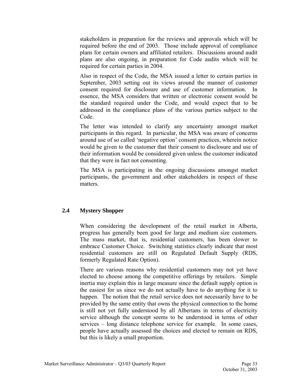<span id="page-34-0"></span>stakeholders in preparation for the reviews and approvals which will be required before the end of 2003. Those include approval of compliance plans for certain owners and affiliated retailers. Discussions around audit plans are also ongoing, in preparation for Code audits which will be required for certain parties in 2004.

Also in respect of the Code, the MSA issued a letter to certain parties in September, 2003 setting out its views around the manner of customer consent required for disclosure and use of customer information. essence, the MSA considers that written or electronic consent would be the standard required under the Code, and would expect that to be addressed in the compliance plans of the various parties subject to the Code.

The letter was intended to clarify any uncertainty amongst market participants in this regard. In particular, the MSA was aware of concerns around use of so called 'negative option' consent practices, wherein notice would be given to the customer that their consent to disclosure and use of their information would be considered given unless the customer indicated that they were in fact not consenting.

The MSA is participating in the ongoing discussions amongst market participants, the government and other stakeholders in respect of these matters.

#### **2.4 Mystery Shopper**

When considering the development of the retail market in Alberta, progress has generally been good for large and medium size customers. The mass market, that is, residential customers, has been slower to embrace Customer Choice. Switching statistics clearly indicate that most residential customers are still on Regulated Default Supply (RDS, formerly Regulated Rate Option).

There are various reasons why residential customers may not yet have elected to choose among the competitive offerings by retailers. Simple inertia may explain this in large measure since the default supply option is the easiest for us since we do not actually have to do anything for it to happen. The notion that the retail service does not necessarily have to be provided by the same entity that owns the physical connection to the home is still not yet fully understood by all Albertans in terms of electricity service although the concept seems to be understood in terms of other services – long distance telephone service for example. In some cases, people have actually assessed the choices and elected to remain on RDS, but this is likely a small proportion.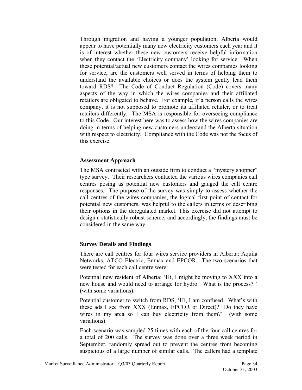Through migration and having a younger population, Alberta would appear to have potentially many new electricity customers each year and it is of interest whether these new customers receive helpful information when they contact the 'Electricity company' looking for service. When these potential/actual new customers contact the wires companies looking for service, are the customers well served in terms of helping them to understand the available choices or does the system gently lead them toward RDS? The Code of Conduct Regulation (Code) covers many aspects of the way in which the wires companies and their affiliated retailers are obligated to behave. For example, if a person calls the wires company, it is not supposed to promote its affiliated retailer, or to treat retailers differently. The MSA is responsible for overseeing compliance to this Code. Our interest here was to assess how the wires companies are doing in terms of helping new customers understand the Alberta situation with respect to electricity. Compliance with the Code was not the focus of this exercise.

#### **Assessment Approach**

The MSA contracted with an outside firm to conduct a "mystery shopper" type survey. Their researchers contacted the various wires companies call centres posing as potential new customers and gauged the call centre responses. The purpose of the survey was simply to assess whether the call centres of the wires companies, the logical first point of contact for potential new customers, was helpful to the callers in terms of describing their options in the deregulated market. This exercise did not attempt to design a statistically robust scheme, and accordingly, the findings must be considered in the same way.

#### **Survey Details and Findings**

There are call centres for four wires service providers in Alberta: Aquila Networks, ATCO Electric, Enmax and EPCOR. The two scenarios that were tested for each call centre were:

Potential new resident of Alberta: 'Hi, I might be moving to XXX into a new house and would need to arrange for hydro. What is the process? ' (with some variations).

Potential customer to switch from RDS, 'Hi, I am confused. What's with these ads I see from XXX (Enmax, EPCOR or Direct)? Do they have wires in my area so I can buy electricity from them?' (with some variations)

Each scenario was sampled 25 times with each of the four call centres for a total of 200 calls. The survey was done over a three week period in September, randomly spread out to prevent the centres from becoming suspicious of a large number of similar calls. The callers had a template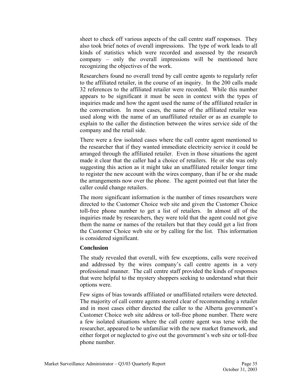sheet to check off various aspects of the call centre staff responses. They also took brief notes of overall impressions. The type of work leads to all kinds of statistics which were recorded and assessed by the research company – only the overall impressions will be mentioned here recognizing the objectives of the work.

Researchers found no overall trend by call centre agents to regularly refer to the affiliated retailer, in the course of an inquiry. In the 200 calls made 32 references to the affiliated retailer were recorded. While this number appears to be significant it must be seen in context with the types of inquiries made and how the agent used the name of the affiliated retailer in the conversation. In most cases, the name of the affiliated retailer was used along with the name of an unaffiliated retailer or as an example to explain to the caller the distinction between the wires service side of the company and the retail side.

There were a few isolated cases where the call centre agent mentioned to the researcher that if they wanted immediate electricity service it could be arranged through the affiliated retailer. Even in those situations the agent made it clear that the caller had a choice of retailers. He or she was only suggesting this action as it might take an unaffiliated retailer longer time to register the new account with the wires company, than if he or she made the arrangements now over the phone. The agent pointed out that later the caller could change retailers.

The more significant information is the number of times researchers were directed to the Customer Choice web site and given the Customer Choice toll-free phone number to get a list of retailers. In almost all of the inquiries made by researchers, they were told that the agent could not give them the name or names of the retailers but that they could get a list from the Customer Choice web site or by calling for the list. This information is considered significant.

#### **Conclusion**

The study revealed that overall, with few exceptions, calls were received and addressed by the wires company's call centre agents in a very professional manner. The call centre staff provided the kinds of responses that were helpful to the mystery shoppers seeking to understand what their options were.

Few signs of bias towards affiliated or unaffiliated retailers were detected. The majority of call centre agents steered clear of recommending a retailer and in most cases either directed the caller to the Alberta government's Customer Choice web site address or toll-free phone number. There were a few isolated situations where the call centre agent was terse with the researcher, appeared to be unfamiliar with the new market framework, and either forgot or neglected to give out the government's web site or toll-free phone number.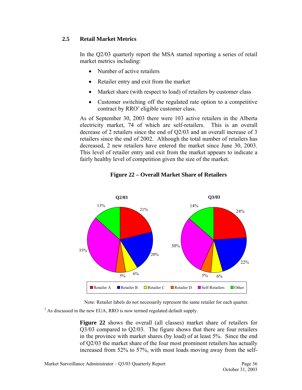#### <span id="page-37-0"></span>**2.5 Retail Market Metrics**

In the Q2/03 quarterly report the MSA started reporting a series of retail market metrics including:

- Number of active retailers
- Retailer entry and exit from the market
- Market share (with respect to load) of retailers by customer class
- Customer switching off the regulated rate option to a competitive contract by RRO<sup>3</sup> eligible customer class.

As of September 30, 2003 there were 103 active retailers in the Alberta electricity market, 74 of which are self-retailers. This is an overall decrease of 2 retailers since the end of Q2/03 and an overall increase of 3 retailers since the end of 2002. Although the total number of retailers has decreased, 2 new retailers have entered the market since June 30, 2003. This level of retailer entry and exit from the market appears to indicate a fairly healthy level of competition given the size of the market.



#### **Figure 22 – Overall Market Share of Retailers**

Note: Retailer labels do not necessarily represent the same retailer for each quarter.

 $3$  As discussed in the new EUA, RRO is now termed regulated default supply.

**Figure 22** shows the overall (all classes) market share of retailers for Q3/03 compared to Q2/03. The figure shows that there are four retailers in the province with market shares (by load) of at least 5%. Since the end of Q2/03 the market share of the four most prominent retailers has actually increased from 52% to 57%, with most loads moving away from the self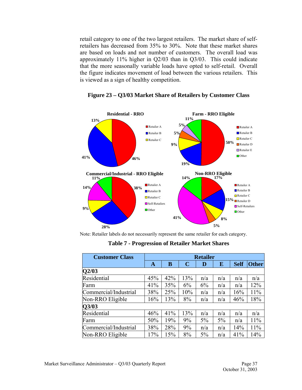<span id="page-38-0"></span>retail category to one of the two largest retailers. The market share of selfretailers has decreased from 35% to 30%. Note that these market shares are based on loads and not number of customers. The overall load was approximately 11% higher in Q2/03 than in Q3/03. This could indicate that the more seasonally variable loads have opted to self-retail. Overall the figure indicates movement of load between the various retailers. This is viewed as a sign of healthy competition.



**Figure 23 – Q3/03 Market Share of Retailers by Customer Class** 

Note: Retailer labels do not necessarily represent the same retailer for each category.

**Table 7 - Progression of Retailer Market Shares** 

| <b>Customer Class</b> | <b>Retailer</b> |     |             |     |     |             |              |
|-----------------------|-----------------|-----|-------------|-----|-----|-------------|--------------|
|                       | A               | B   | $\mathbf C$ | D   | E   | <b>Self</b> | <b>Other</b> |
| Q2/03                 |                 |     |             |     |     |             |              |
| Residential           | 45%             | 42% | 13%         | n/a | n/a | n/a         | n/a          |
| Farm                  | 41%             | 35% | 6%          | 6%  | n/a | n/a         | 12%          |
| Commercial/Industrial | 38%             | 25% | 10%         | n/a | n/a | 16%         | 11%          |
| Non-RRO Eligible      | 16%             | 13% | 8%          | n/a | n/a | 46%         | 18%          |
| Q3/03                 |                 |     |             |     |     |             |              |
| Residential           | 46%             | 41% | 13%         | n/a | n/a | n/a         | n/a          |
| Farm                  | 50%             | 19% | 9%          | 5%  | 5%  | n/a         | 11%          |
| Commercial/Industrial | 38%             | 28% | 9%          | n/a | n/a | 14%         | 11%          |
| Non-RRO Eligible      | 17%             | 15% | 8%          | 5%  | n/a | 41%         | 14%          |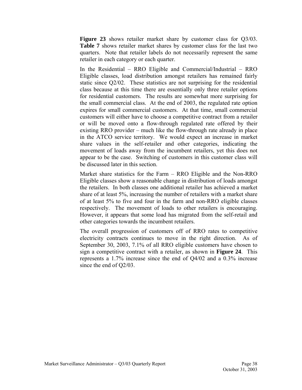**Figure 23** shows retailer market share by customer class for Q3/03. **Table 7** shows retailer market shares by customer class for the last two quarters. Note that retailer labels do not necessarily represent the same retailer in each category or each quarter.

In the Residential – RRO Eligible and Commercial/Industrial – RRO Eligible classes, load distribution amongst retailers has remained fairly static since Q2/02. These statistics are not surprising for the residential class because at this time there are essentially only three retailer options for residential customers. The results are somewhat more surprising for the small commercial class. At the end of 2003, the regulated rate option expires for small commercial customers. At that time, small commercial customers will either have to choose a competitive contract from a retailer or will be moved onto a flow-through regulated rate offered by their existing RRO provider – much like the flow-through rate already in place in the ATCO service territory. We would expect an increase in market share values in the self-retailer and other categories, indicating the movement of loads away from the incumbent retailers, yet this does not appear to be the case. Switching of customers in this customer class will be discussed later in this section.

Market share statistics for the Farm – RRO Eligible and the Non-RRO Eligible classes show a reasonable change in distribution of loads amongst the retailers. In both classes one additional retailer has achieved a market share of at least 5%, increasing the number of retailers with a market share of at least 5% to five and four in the farm and non-RRO eligible classes respectively. The movement of loads to other retailers is encouraging. However, it appears that some load has migrated from the self-retail and other categories towards the incumbent retailers.

The overall progression of customers off of RRO rates to competitive electricity contracts continues to move in the right direction. As of September 30, 2003, 7.1% of all RRO eligible customers have chosen to sign a competitive contract with a retailer, as shown in **Figure 24**. This represents a 1.7% increase since the end of Q4/02 and a 0.3% increase since the end of Q2/03.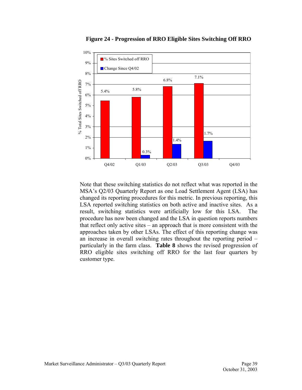<span id="page-40-0"></span>

**Figure 24 - Progression of RRO Eligible Sites Switching Off RRO** 

Note that these switching statistics do not reflect what was reported in the MSA's Q2/03 Quarterly Report as one Load Settlement Agent (LSA) has changed its reporting procedures for this metric. In previous reporting, this LSA reported switching statistics on both active and inactive sites. As a result, switching statistics were artificially low for this LSA. The procedure has now been changed and the LSA in question reports numbers that reflect only active sites – an approach that is more consistent with the approaches taken by other LSAs. The effect of this reporting change was an increase in overall switching rates throughout the reporting period – particularly in the farm class. **Table 8** shows the revised progression of RRO eligible sites switching off RRO for the last four quarters by customer type.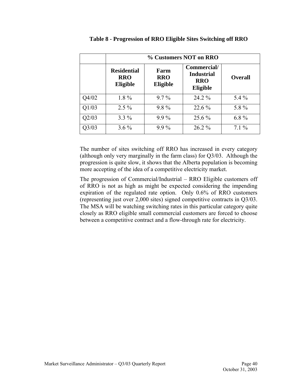<span id="page-41-0"></span>

|       | % Customers NOT on RRO                       |                                |                                                                   |                |  |  |  |  |
|-------|----------------------------------------------|--------------------------------|-------------------------------------------------------------------|----------------|--|--|--|--|
|       | <b>Residential</b><br><b>RRO</b><br>Eligible | Farm<br><b>RRO</b><br>Eligible | Commercial/<br><b>Industrial</b><br><b>RRO</b><br><b>Eligible</b> | <b>Overall</b> |  |  |  |  |
| Q4/02 | $1.8\%$                                      | $9.7\%$                        | 24.2 %                                                            | $5.4\%$        |  |  |  |  |
| Q1/03 | $2.5\%$                                      | $9.8\%$                        | $22.6\%$                                                          | 5.8%           |  |  |  |  |
| Q2/03 | $3.3\%$                                      | $9.9\%$                        | 25.6 %                                                            | $6.8\%$        |  |  |  |  |
| Q3/03 | $3.6\%$                                      | $9.9\%$                        | $26.2\%$                                                          | $7.1\%$        |  |  |  |  |

| Table 8 - Progression of RRO Eligible Sites Switching off RRO |  |  |  |
|---------------------------------------------------------------|--|--|--|
|                                                               |  |  |  |

The number of sites switching off RRO has increased in every category (although only very marginally in the farm class) for Q3/03. Although the progression is quite slow, it shows that the Alberta population is becoming more accepting of the idea of a competitive electricity market.

The progression of Commercial/Industrial – RRO Eligible customers off of RRO is not as high as might be expected considering the impending expiration of the regulated rate option. Only 0.6% of RRO customers (representing just over 2,000 sites) signed competitive contracts in Q3/03. The MSA will be watching switching rates in this particular category quite closely as RRO eligible small commercial customers are forced to choose between a competitive contract and a flow-through rate for electricity.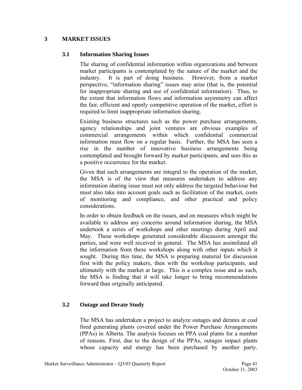#### <span id="page-42-0"></span>**3 MARKET ISSUES**

#### **3.1 Information Sharing Issues**

The sharing of confidential information within organizations and between market participants is contemplated by the nature of the market and the industry. It is part of doing business. However, from a market industry. It is part of doing business. perspective, "information sharing" issues may arise (that is, the potential for inappropriate sharing and use of confidential information). Thus, to the extent that information flows and information asymmetry can affect the fair, efficient and openly competitive operation of the market, effort is required to limit inappropriate information sharing.

Existing business structures such as the power purchase arrangements, agency relationships and joint ventures are obvious examples of commercial arrangements within which confidential commercial information must flow on a regular basis. Further, the MSA has seen a rise in the number of innovative business arrangements being contemplated and brought forward by market participants, and sees this as a positive occurrence for the market.

Given that such arrangements are integral to the operation of the market, the MSA is of the view that measures undertaken to address any information sharing issue must not only address the targeted behaviour but must also take into account goals such as facilitation of the market, costs of monitoring and compliance, and other practical and policy considerations.

In order to obtain feedback on the issues, and on measures which might be available to address any concerns around information sharing, the MSA undertook a series of workshops and other meetings during April and May. These workshops generated considerable discussion amongst the parties, and were well received in general. The MSA has assimilated all the information from these workshops along with other inputs which it sought. During this time, the MSA is preparing material for discussion first with the policy makers, then with the workshop participants, and ultimately with the market at large. This is a complex issue and as such, the MSA is finding that it will take longer to bring recommendations forward than originally anticipated.

#### **3.2 Outage and Derate Study**

The MSA has undertaken a project to analyze outages and derates at coal fired generating plants covered under the Power Purchase Arrangements (PPAs) in Alberta. The analysis focuses on PPA coal plants for a number of reasons. First, due to the design of the PPAs, outages impact plants whose capacity and energy has been purchased by another party.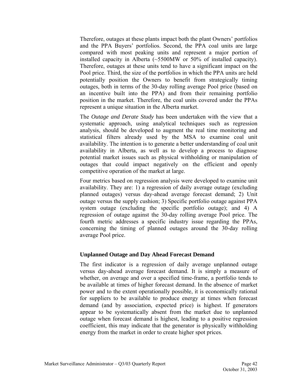Therefore, outages at these plants impact both the plant Owners' portfolios and the PPA Buyers' portfolios. Second, the PPA coal units are large compared with most peaking units and represent a major portion of installed capacity in Alberta (~5500MW or 50% of installed capacity). Therefore, outages at these units tend to have a significant impact on the Pool price. Third, the size of the portfolios in which the PPA units are held potentially position the Owners to benefit from strategically timing outages, both in terms of the 30-day rolling average Pool price (based on an incentive built into the PPA) and from their remaining portfolio position in the market. Therefore, the coal units covered under the PPAs represent a unique situation in the Alberta market.

The *Outage and Derate Study* has been undertaken with the view that a systematic approach, using analytical techniques such as regression analysis, should be developed to augment the real time monitoring and statistical filters already used by the MSA to examine coal unit availability. The intention is to generate a better understanding of coal unit availability in Alberta, as well as to develop a process to diagnose potential market issues such as physical withholding or manipulation of outages that could impact negatively on the efficient and openly competitive operation of the market at large.

Four metrics based on regression analysis were developed to examine unit availability. They are: 1) a regression of daily average outage (excluding planned outages) versus day-ahead average forecast demand; 2) Unit outage versus the supply cushion; 3) Specific portfolio outage against PPA system outage (excluding the specific portfolio outage); and 4) A regression of outage against the 30-day rolling average Pool price. The fourth metric addresses a specific industry issue regarding the PPAs, concerning the timing of planned outages around the 30-day rolling average Pool price.

#### **Unplanned Outage and Day Ahead Forecast Demand**

The first indicator is a regression of daily average unplanned outage versus day-ahead average forecast demand. It is simply a measure of whether, on average and over a specified time-frame, a portfolio tends to be available at times of higher forecast demand. In the absence of market power and to the extent operationally possible, it is economically rational for suppliers to be available to produce energy at times when forecast demand (and by association, expected price) is highest. If generators appear to be systematically absent from the market due to unplanned outage when forecast demand is highest, leading to a positive regression coefficient, this may indicate that the generator is physically withholding energy from the market in order to create higher spot prices.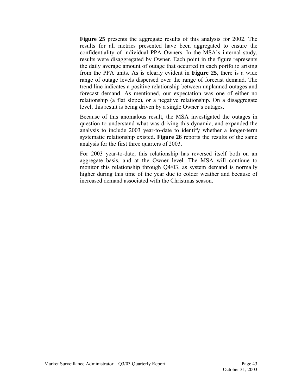**Figure 25** presents the aggregate results of this analysis for 2002. The results for all metrics presented have been aggregated to ensure the confidentiality of individual PPA Owners. In the MSA's internal study, results were disaggregated by Owner. Each point in the figure represents the daily average amount of outage that occurred in each portfolio arising from the PPA units. As is clearly evident in **Figure 25**, there is a wide range of outage levels dispersed over the range of forecast demand. The trend line indicates a positive relationship between unplanned outages and forecast demand. As mentioned, our expectation was one of either no relationship (a flat slope), or a negative relationship. On a disaggregate level, this result is being driven by a single Owner's outages.

Because of this anomalous result, the MSA investigated the outages in question to understand what was driving this dynamic, and expanded the analysis to include 2003 year-to-date to identify whether a longer-term systematic relationship existed. **Figure 26** reports the results of the same analysis for the first three quarters of 2003.

For 2003 year-to-date, this relationship has reversed itself both on an aggregate basis, and at the Owner level. The MSA will continue to monitor this relationship through Q4/03, as system demand is normally higher during this time of the year due to colder weather and because of increased demand associated with the Christmas season.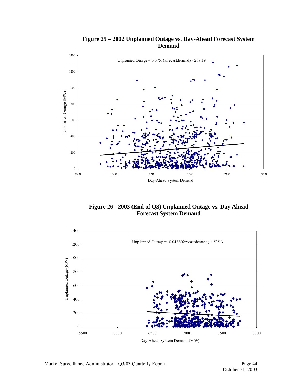<span id="page-45-0"></span>

#### **Figure 25 – 2002 Unplanned Outage vs. Day-Ahead Forecast System Demand**

**Figure 26 - 2003 (End of Q3) Unplanned Outage vs. Day Ahead Forecast System Demand** 

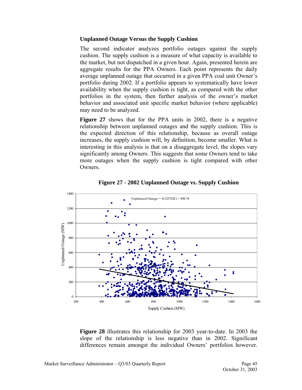#### <span id="page-46-0"></span>**Unplanned Outage Versus the Supply Cushion**

The second indicator analyzes portfolio outages against the supply cushion. The supply cushion is a measure of what capacity is available to the market, but not dispatched in a given hour. Again, presented herein are aggregate results for the PPA Owners. Each point represents the daily average unplanned outage that occurred in a given PPA coal unit Owner's portfolio during 2002. If a portfolio appears to systematically have lower availability when the supply cushion is tight, as compared with the other portfolios in the system, then further analysis of the owner's market behavior and associated unit specific market behavior (where applicable) may need to be analyzed.

**Figure 27** shows that for the PPA units in 2002, there is a negative relationship between unplanned outages and the supply cushion. This is the expected direction of this relationship, because as overall outage increases, the supply cushion will, by definition, become smaller. What is interesting in this analysis is that on a disaggregate level, the slopes vary significantly among Owners. This suggests that some Owners tend to take more outages when the supply cushion is tight compared with other Owners.



**Figure 27 - 2002 Unplanned Outage vs. Supply Cushion** 

**Figure 28** illustrates this relationship for 2003 year-to-date. In 2003 the slope of the relationship is less negative than in 2002. Significant differences remain amongst the individual Owners' portfolios however.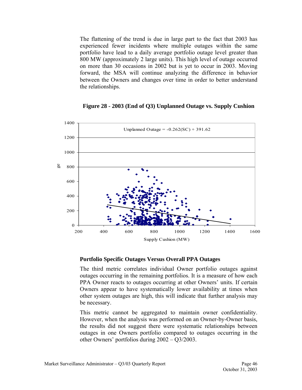<span id="page-47-0"></span>The flattening of the trend is due in large part to the fact that 2003 has experienced fewer incidents where multiple outages within the same portfolio have lead to a daily average portfolio outage level greater than 800 MW (approximately 2 large units). This high level of outage occurred on more than 30 occasions in 2002 but is yet to occur in 2003. Moving forward, the MSA will continue analyzing the difference in behavior between the Owners and changes over time in order to better understand the relationships.



**Figure 28 - 2003 (End of Q3) Unplanned Outage vs. Supply Cushion** 

#### **Portfolio Specific Outages Versus Overall PPA Outages**

The third metric correlates individual Owner portfolio outages against outages occurring in the remaining portfolios. It is a measure of how each PPA Owner reacts to outages occurring at other Owners' units. If certain Owners appear to have systematically lower availability at times when other system outages are high, this will indicate that further analysis may be necessary.

This metric cannot be aggregated to maintain owner confidentiality. However, when the analysis was performed on an Owner-by-Owner basis, the results did not suggest there were systematic relationships between outages in one Owners portfolio compared to outages occurring in the other Owners' portfolios during 2002 – Q3/2003.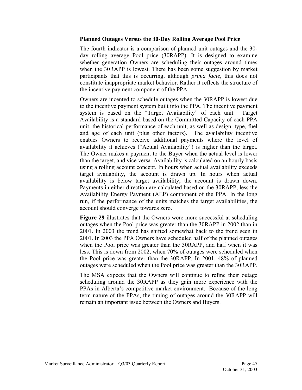#### **Planned Outages Versus the 30-Day Rolling Average Pool Price**

The fourth indicator is a comparison of planned unit outages and the 30 day rolling average Pool price (30RAPP). It is designed to examine whether generation Owners are scheduling their outages around times when the 30RAPP is lowest. There has been some suggestion by market participants that this is occurring, although *prima facie*, this does not constitute inappropriate market behavior. Rather it reflects the structure of the incentive payment component of the PPA.

Owners are incented to schedule outages when the 30RAPP is lowest due to the incentive payment system built into the PPA. The incentive payment system is based on the "Target Availability" of each unit. Target Availability is a standard based on the Committed Capacity of each PPA unit, the historical performance of each unit, as well as design, type, fuel and age of each unit (plus other factors). The availability incentive enables Owners to receive additional payments where the level of availability it achieves ("Actual Availability") is higher than the target. The Owner makes a payment to the Buyer when the actual level is lower than the target, and vice versa. Availability is calculated on an hourly basis using a rolling account concept. In hours when actual availability exceeds target availability, the account is drawn up. In hours when actual availability is below target availability, the account is drawn down. Payments in either direction are calculated based on the 30RAPP, less the Availability Energy Payment (AEP) component of the PPA. In the long run, if the performance of the units matches the target availabilities, the account should converge towards zero.

**Figure 29** illustrates that the Owners were more successful at scheduling outages when the Pool price was greater than the 30RAPP in 2002 than in 2001. In 2003 the trend has shifted somewhat back to the trend seen in 2001. In 2003 the PPA Owners have scheduled half of the planned outages when the Pool price was greater than the 30RAPP, and half when it was less. This is down from 2002, when 70% of outages were scheduled when the Pool price was greater than the 30RAPP. In 2001, 48% of planned outages were scheduled when the Pool price was greater than the 30RAPP.

The MSA expects that the Owners will continue to refine their outage scheduling around the 30RAPP as they gain more experience with the PPAs in Alberta's competitive market environment. Because of the long term nature of the PPAs, the timing of outages around the 30RAPP will remain an important issue between the Owners and Buyers.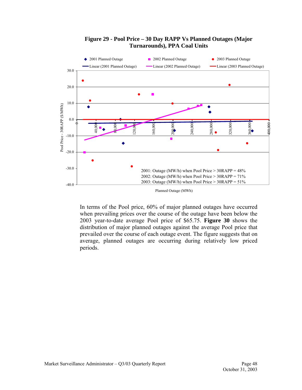<span id="page-49-0"></span>

#### **Figure 29 - Pool Price – 30 Day RAPP Vs Planned Outages (Major Turnarounds), PPA Coal Units**

Planned Outage (MWh)

In terms of the Pool price, 60% of major planned outages have occurred when prevailing prices over the course of the outage have been below the 2003 year-to-date average Pool price of \$65.75. **Figure 30** shows the distribution of major planned outages against the average Pool price that prevailed over the course of each outage event. The figure suggests that on average, planned outages are occurring during relatively low priced periods.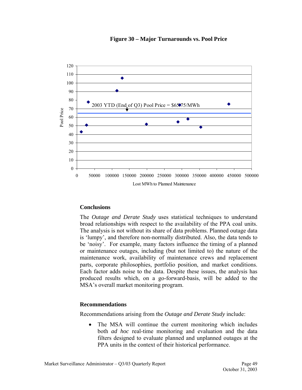<span id="page-50-0"></span>

#### **Figure 30 – Major Turnarounds vs. Pool Price**

#### **Conclusions**

The *Outage and Derate Study* uses statistical techniques to understand broad relationships with respect to the availability of the PPA coal units. The analysis is not without its share of data problems. Planned outage data is 'lumpy', and therefore non-normally distributed. Also, the data tends to be 'noisy'. For example, many factors influence the timing of a planned or maintenance outages, including (but not limited to) the nature of the maintenance work, availability of maintenance crews and replacement parts, corporate philosophies, portfolio position, and market conditions. Each factor adds noise to the data. Despite these issues, the analysis has produced results which, on a go-forward-basis, will be added to the MSA's overall market monitoring program.

#### **Recommendations**

Recommendations arising from the *Outage and Derate Study* include:

• The MSA will continue the current monitoring which includes both *ad hoc* real-time monitoring and evaluation and the data filters designed to evaluate planned and unplanned outages at the PPA units in the context of their historical performance.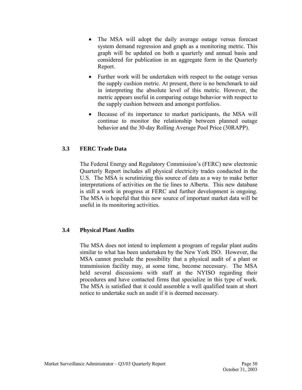- <span id="page-51-0"></span>• The MSA will adopt the daily average outage versus forecast system demand regression and graph as a monitoring metric. This graph will be updated on both a quarterly and annual basis and considered for publication in an aggregate form in the Quarterly Report.
- Further work will be undertaken with respect to the outage versus the supply cushion metric. At present, there is no benchmark to aid in interpreting the absolute level of this metric. However, the metric appears useful in comparing outage behavior with respect to the supply cushion between and amongst portfolios.
- Because of its importance to market participants, the MSA will continue to monitor the relationship between planned outage behavior and the 30-day Rolling Average Pool Price (30RAPP).

#### **3.3 FERC Trade Data**

The Federal Energy and Regulatory Commission's (FERC) new electronic Quarterly Report includes all physical electricity trades conducted in the U.S. The MSA is scrutinizing this source of data as a way to make better interpretations of activities on the tie lines to Alberta. This new database is still a work in progress at FERC and further development is ongoing. The MSA is hopeful that this new source of important market data will be useful in its monitoring activities.

#### **3.4 Physical Plant Audits**

The MSA does not intend to implement a program of regular plant audits similar to what has been undertaken by the New York ISO. However, the MSA cannot preclude the possibility that a physical audit of a plant or transmission facility may, at some time, become necessary. The MSA held several discussions with staff at the NYISO regarding their procedures and have contacted firms that specialize in this type of work. The MSA is satisfied that it could assemble a well qualified team at short notice to undertake such an audit if it is deemed necessary.